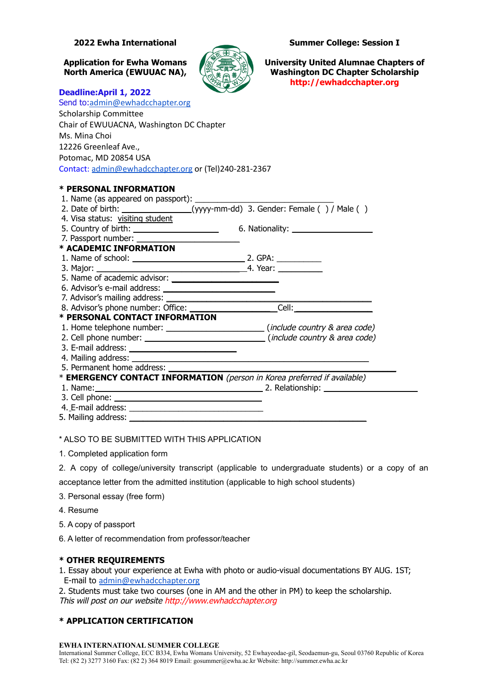

**2022 Ewha International Summer College: Session I**

**Application for Ewha Womans University United Alumnae Chapters of North America (EWUUAC NA), Washington DC Chapter Scholarship http://ewhadcchapter.org**

### **Deadline:April 1, 2022**

| Send to:admin@ewhadcchapter.org                                               |         |
|-------------------------------------------------------------------------------|---------|
| <b>Scholarship Committee</b>                                                  |         |
| Chair of EWUUACNA, Washington DC Chapter                                      |         |
| Ms. Mina Choi                                                                 |         |
| 12226 Greenleaf Ave.,                                                         |         |
| Potomac, MD 20854 USA                                                         |         |
| Contact: admin@ewhadcchapter.org or (Tel)240-281-2367                         |         |
|                                                                               |         |
| * PERSONAL INFORMATION                                                        |         |
| 1. Name (as appeared on passport):                                            |         |
| 2. Date of birth: ________________(yyyy-mm-dd) 3. Gender: Female () / Male () |         |
| 4. Visa status: visiting student                                              |         |
|                                                                               |         |
| 7. Passport number:                                                           |         |
| * ACADEMIC INFORMATION                                                        |         |
|                                                                               | 2. GPA: |

#### 3. Major: \_\_\_\_\_\_\_\_\_\_\_\_\_\_\_\_\_\_\_\_\_\_\_\_\_\_\_\_\_\_\_\_ 4. Year: \_\_\_\_\_\_\_\_\_\_ 5. Name of academic advisor: 6. Advisor's e-mail address: \_\_\_\_\_\_\_\_\_\_\_\_\_\_\_\_\_\_\_\_\_\_\_\_\_ 7. Advisor's mailing address: \_\_\_\_\_\_\_\_\_\_\_\_\_\_\_\_\_\_\_\_\_\_\_\_\_\_\_\_\_\_\_\_\_\_\_\_\_\_\_\_\_\_\_\_\_\_ 8. Advisor's phone number: Office: <br>
Gell: Cell: **\* PERSONAL CONTACT INFORMATION**

1. Home telephone number: \_\_\_\_\_\_\_\_\_\_\_\_\_\_\_\_\_\_\_\_\_\_\_\_\_\_\_\_\_\_\_\_\_\_(include country & area code)

2. Cell phone number: \_\_\_\_\_\_\_\_\_\_\_\_\_\_\_\_\_\_\_\_\_\_\_\_\_\_\_ (include country & area code)

- 3. E-mail address:
- 4. Mailing address:
- 5. Permanent home address:

\* **EMERGENCY CONTACT INFORMATION** (person in Korea preferred if available)

- 1. Name: \_\_\_\_\_\_\_\_\_\_\_\_\_\_\_\_\_\_\_\_\_\_\_\_\_\_\_\_\_\_\_\_\_\_\_\_\_ 2. Relationship: \_\_\_\_\_\_\_\_\_\_\_\_\_\_\_\_\_\_\_\_\_
- 3. Cell phone:
- 4. E-mail address: \_\_\_\_\_\_\_\_\_\_\_\_\_\_\_\_\_\_\_\_\_\_\_\_\_\_\_\_\_\_
- 5. Mailing address:

## \* ALSO TO BE SUBMITTED WITH THIS APPLICATION

- 1. Completed application form
- 2. A copy of college/university transcript (applicable to undergraduate students) or a copy of an

acceptance letter from the admitted institution (applicable to high school students)

- 3. Personal essay (free form)
- 4. Resume
- 5. A copy of passport
- 6. A letter of recommendation from professor/teacher

## **\* OTHER REQUIREMENTS**

1. Essay about your experience at Ewha with photo or audio-visual documentations BY AUG. 1ST; E-mail to [admin@ewhadcchapter.org](mailto:admin@ewhadcchapter.org)

2. Students must take two courses (one in AM and the other in PM) to keep the scholarship. This will post on our website http://www.ewhadcchapter.org

# **\* APPLICATION CERTIFICATION**

#### **EWHA INTERNATIONAL SUMMER COLLEGE**